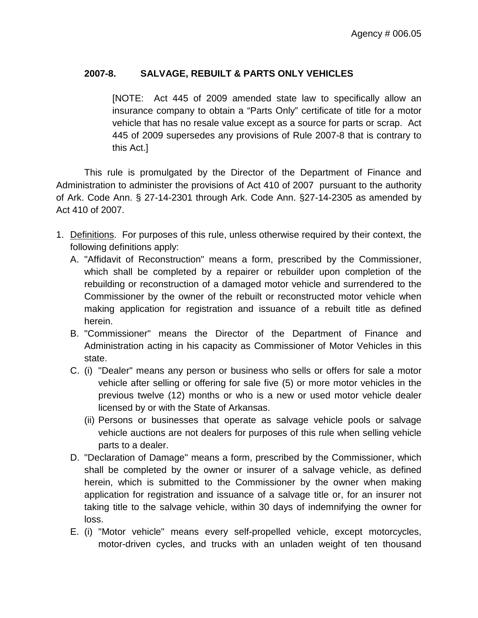## **2007-8. SALVAGE, REBUILT & PARTS ONLY VEHICLES**

[NOTE: Act 445 of 2009 amended state law to specifically allow an insurance company to obtain a "Parts Only" certificate of title for a motor vehicle that has no resale value except as a source for parts or scrap. Act 445 of 2009 supersedes any provisions of Rule 2007-8 that is contrary to this Act.]

This rule is promulgated by the Director of the Department of Finance and Administration to administer the provisions of Act 410 of 2007 pursuant to the authority of Ark. Code Ann. § 27-14-2301 through Ark. Code Ann. §27-14-2305 as amended by Act 410 of 2007.

- 1. Definitions . For purposes of this rule, unless otherwise required by their context, the following definitions apply:
	- A. "Affidavit of Reconstruction" means a form, prescribed by the Commissioner, which shall be completed by a repairer or rebuilder upon completion of the rebuilding or reconstruction of a damaged motor vehicle and surrendered to the Commissioner by the owner of the rebuilt or reconstructed motor vehicle when making application for registration and issuance of a rebuilt title as defined herein.
	- B. "Commissioner" means the Director of the Department of Finance and Administration acting in his capacity as Commissioner of Motor Vehicles in this state.
	- C. (i) "Dealer" means any person or business who sells or offers for sale a motor vehicle after selling or offering for sale five (5) or more motor vehicles in the previous twelve (12) months or who is a new or used motor vehicle dealer licensed by or with the State of Arkansas.
		- (ii) Persons or businesses that operate as salvage vehicle pools or salvage vehicle auctions are not dealers for purposes of this rule when selling vehicle parts to a dealer.
	- D. "Declaration of Damage" means a form, prescribed by the Commissioner, which shall be completed by the owner or insurer of a salvage vehicle, as defined herein, which is submitted to the Commissioner by the owner when making application for registration and issuance of a salvage title or, for an insurer not taking title to the salvage vehicle, within 30 days of indemnifying the owner for loss.
	- E. (i) "Motor vehicle" means every self-propelled vehicle, except motorcycles, motor-driven cycles, and trucks with an unladen weight of ten thousand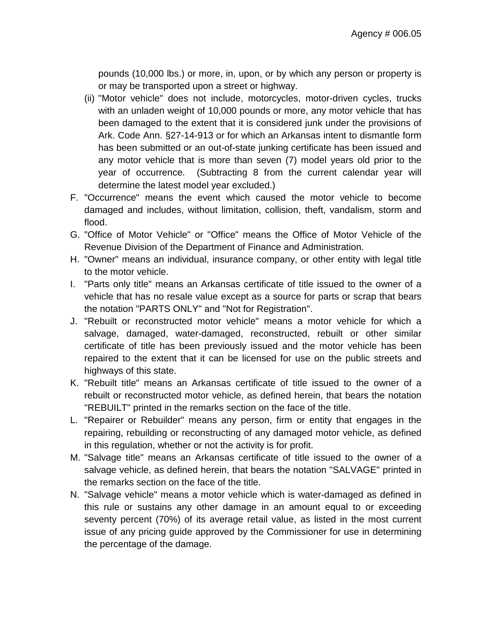pounds (10,000 lbs.) or more, in, upon, or by which any person or property is or may be transported upon a street or highway.

- (ii) "Motor vehicle" does not include, motorcycles, motor-driven cycles, trucks with an unladen weight of 10,000 pounds or more, any motor vehicle that has been damaged to the extent that it is considered junk under the provisions of Ark. Code Ann. §27-14-913 or for which an Arkansas intent to dismantle form has been submitted or an out-of-state junking certificate has been issued and any motor vehicle that is more than seven (7) model years old prior to the year of occurrence. (Subtracting 8 from the current calendar year will determine the latest model year excluded.)
- F. "Occurrence" means the event which caused the motor vehicle to become damaged and includes, without limitation, collision, theft, vandalism, storm and flood.
- G. "Office of Motor Vehicle" or "Office" means the Office of Motor Vehicle of the Revenue Division of the Department of Finance and Administration.
- H. "Owner" means an individual, insurance company, or other entity with legal title to the motor vehicle.
- I. "Parts only title" means an Arkansas certificate of title issued to the owner of a vehicle that has no resale value except as a source for parts or scrap that bears the notation "PARTS ONLY" and "Not for Registration".
- J. "Rebuilt or reconstructed motor vehicle" means a motor vehicle for which a salvage, damaged, water-damaged, reconstructed, rebuilt or other similar certificate of title has been previously issued and the motor vehicle has been repaired to the extent that it can be licensed for use on the public streets and highways of this state.
- K. "Rebuilt title" means an Arkansas certificate of title issued to the owner of a rebuilt or reconstructed motor vehicle, as defined herein, that bears the notation "REBUILT" printed in the remarks section on the face of the title.
- L. "Repairer or Rebuilder" means any person, firm or entity that engages in the repairing, rebuilding or reconstructing of any damaged motor vehicle, as defined in this regulation, whether or not the activity is for profit.
- M. "Salvage title" means an Arkansas certificate of title issued to the owner of a salvage vehicle, as defined herein, that bears the notation "SALVAGE" printed in the remarks section on the face of the title.
- N. "Salvage vehicle" means a motor vehicle which is water-damaged as defined in this rule or sustains any other damage in an amount equal to or exceeding seventy percent (70%) of its average retail value, as listed in the most current issue of any pricing guide approved by the Commissioner for use in determining the percentage of the damage.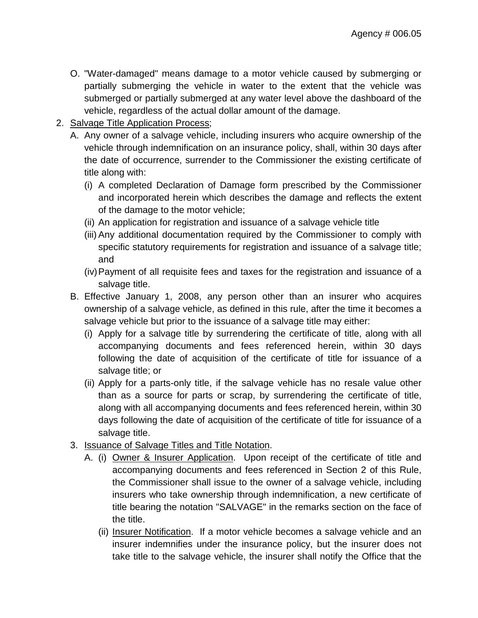- O. "Water-damaged" means damage to a motor vehicle caused by submerging or partially submerging the vehicle in water to the extent that the vehicle was submerged or partially submerged at any water level above the dashboard of the vehicle, regardless of the actual dollar amount of the damage.
- 2. Salvage Title Application Process;
	- A. Any owner of a salvage vehicle, including insurers who acquire ownership of the vehicle through indemnification on an insurance policy, shall, within 30 days after the date of occurrence, surrender to the Commissioner the existing certificate of title along with:
		- (i) A completed Declaration of Damage form prescribed by the Commissioner and incorporated herein which describes the damage and reflects the extent of the damage to the motor vehicle;
		- (ii) An application for registration and issuance of a salvage vehicle title
		- (iii) Any additional documentation required by the Commissioner to comply with specific statutory requirements for registration and issuance of a salvage title; and
		- (iv)Payment of all requisite fees and taxes for the registration and issuance of a salvage title.
	- B. Effective January 1, 2008, any person other than an insurer who acquires ownership of a salvage vehicle, as defined in this rule, after the time it becomes a salvage vehicle but prior to the issuance of a salvage title may either:
		- (i) Apply for a salvage title by surrendering the certificate of title, along with all accompanying documents and fees referenced herein, within 30 days following the date of acquisition of the certificate of title for issuance of a salvage title; or
		- (ii) Apply for a parts-only title, if the salvage vehicle has no resale value other than as a source for parts or scrap, by surrendering the certificate of title, along with all accompanying documents and fees referenced herein, within 30 days following the date of acquisition of the certificate of title for issuance of a salvage title.
	- 3. <u>Issuance of Salvage Titles and Title Notation</u>.
		- A. (i) Owner & Insurer Application. Upon receipt of the certificate of title and accompanying documents and fees referenced in Section 2 of this Rule, the Commissioner shall issue to the owner of a salvage vehicle, including insurers who take ownership through indemnification, a new certificate of title bearing the notation "SALVAGE" in the remarks section on the face of the title.
			- (ii) Insurer Notification. If a motor vehicle becomes a salvage vehicle and an insurer indemnifies under the insurance policy, but the insurer does not take title to the salvage vehicle, the insurer shall notify the Office that the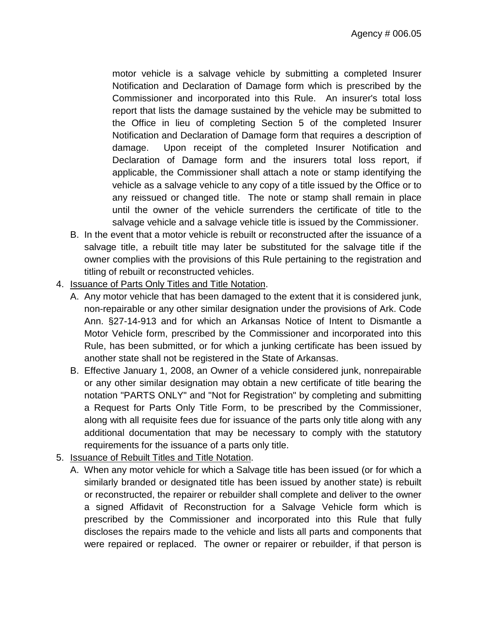motor vehicle is a salvage vehicle by submitting a completed Insurer Notification and Declaration of Damage form which is prescribed by the Commissioner and incorporated into this Rule. An insurer's total loss report that lists the damage sustained by the vehicle may be submitted to the Office in lieu of completing Section 5 of the completed Insurer Notification and Declaration of Damage form that requires a description of damage. Upon receipt of the completed Insurer Notification and Declaration of Damage form and the insurers total loss report, if applicable, the Commissioner shall attach a note or stamp identifying the vehicle as a salvage vehicle to any copy of a title issued by the Office or to any reissued or changed title. The note or stamp shall remain in place until the owner of the vehicle surrenders the certificate of title to the salvage vehicle and a salvage vehicle title is issued by the Commissioner.

- B. In the event that a motor vehicle is rebuilt or reconstructed after the issuance of a salvage title, a rebuilt title may later be substituted for the salvage title if the owner complies with the provisions of this Rule pertaining to the registration and titling of rebuilt or reconstructed vehicles.
- 4. <u>Issuance of Parts Only Titles and Title Notation</u>.
	- A. Any motor vehicle that has been damaged to the extent that it is considered junk, non-repairable or any other similar designation under the provisions of Ark. Code Ann. §27-14-913 and for which an Arkansas Notice of Intent to Dismantle a Motor Vehicle form, prescribed by the Commissioner and incorporated into this Rule, has been submitted, or for which a junking certificate has been issued by another state shall not be registered in the State of Arkansas.
	- B. Effective January 1, 2008, an Owner of a vehicle considered junk, nonrepairable or any other similar designation may obtain a new certificate of title bearing the notation "PARTS ONLY" and "Not for Registration" by completing and submitting a Request for Parts Only Title Form, to be prescribed by the Commissioner, along with all requisite fees due for issuance of the parts only title along with any additional documentation that may be necessary to comply with the statutory requirements for the issuance of a parts only title.
- 5. Issuance of Rebuilt Titles and Title Notation .
	- A. When any motor vehicle for which a Salvage title has been issued (or for which a similarly branded or designated title has been issued by another state) is rebuilt or reconstructed, the repairer or rebuilder shall complete and deliver to the owner a signed Affidavit of Reconstruction for a Salvage Vehicle form which is prescribed by the Commissioner and incorporated into this Rule that fully discloses the repairs made to the vehicle and lists all parts and components that were repaired or replaced. The owner or repairer or rebuilder, if that person is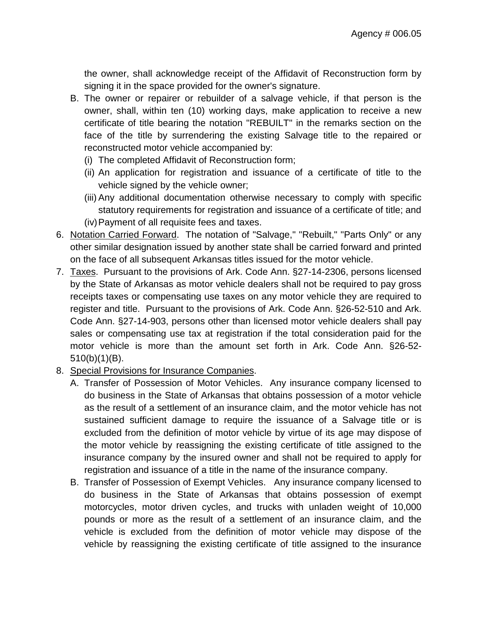the owner, shall acknowledge receipt of the Affidavit of Reconstruction form by signing it in the space provided for the owner's signature.

- B. The owner or repairer or rebuilder of a salvage vehicle, if that person is the owner, shall, within ten (10) working days, make application to receive a new certificate of title bearing the notation "REBUILT" in the remarks section on the face of the title by surrendering the existing Salvage title to the repaired or reconstructed motor vehicle accompanied by:
	- (i) The completed Affidavit of Reconstruction form;
	- (ii) An application for registration and issuance of a certificate of title to the vehicle signed by the vehicle owner:
	- (iii) Any additional documentation otherwise necessary to comply with specific statutory requirements for registration and issuance of a certificate of title; and (iv)Payment of all requisite fees and taxes.
- 6. Notation Carried Forward. The notation of "Salvage," "Rebuilt," "Parts Only" or any other similar designation issued by another state shall be carried forward and printed on the face of all subsequent Arkansas titles issued for the motor vehicle.
- 7. Taxes . Pursuant to the provisions of Ark. Code Ann. §27-14-2306, persons licensed by the State of Arkansas as motor vehicle dealers shall not be required to pay gross receipts taxes or compensating use taxes on any motor vehicle they are required to register and title. Pursuant to the provisions of Ark. Code Ann. §26-52-510 and Ark. Code Ann. §27-14-903, persons other than licensed motor vehicle dealers shall pay sales or compensating use tax at registration if the total consideration paid for the motor vehicle is more than the amount set forth in Ark. Code Ann. §26-52- 510(b)(1)(B).
- 8. Special Provisions for Insurance Companies .
	- A. Transfer of Possession of Motor Vehicles. Any insurance company licensed to do business in the State of Arkansas that obtains possession of a motor vehicle as the result of a settlement of an insurance claim, and the motor vehicle has not sustained sufficient damage to require the issuance of a Salvage title or is excluded from the definition of motor vehicle by virtue of its age may dispose of the motor vehicle by reassigning the existing certificate of title assigned to the insurance company by the insured owner and shall not be required to apply for registration and issuance of a title in the name of the insurance company.
	- B. Transfer of Possession of Exempt Vehicles. Any insurance company licensed to do business in the State of Arkansas that obtains possession of exempt motorcycles, motor driven cycles, and trucks with unladen weight of 10,000 pounds or more as the result of a settlement of an insurance claim, and the vehicle is excluded from the definition of motor vehicle may dispose of the vehicle by reassigning the existing certificate of title assigned to the insurance